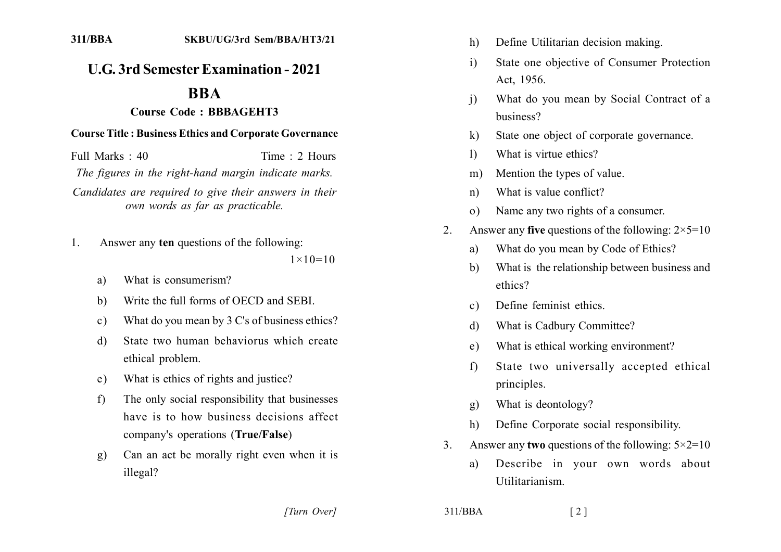## **U.G. 3rd Semester Examination - 2021**

## **RRA**

## **Course Code: BBBAGEHT3**

## **Course Title: Business Ethics and Corporate Governance**

Full Marks  $\cdot$  40 Time  $\cdot$  2 Hours

The figures in the right-hand margin indicate marks.

Candidates are required to give their answers in their own words as far as practicable.

- Answer any ten questions of the following:  $1<sub>1</sub>$  $1 \times 10 = 10$ 
	- What is consumerism?  $a)$
	- Write the full forms of OECD and SEBI.  $b)$
	- What do you mean by 3 C's of business ethics?  $\mathbf{c}$ )
	- State two human behaviorus which create d) ethical problem.
	- What is ethics of rights and justice? e)
	- The only social responsibility that businesses  $f$ have is to how business decisions affect company's operations (True/False)
	- Can an act be morally right even when it is  $g)$ illegal?
- Define Utilitarian decision making.  $h)$
- State one objective of Consumer Protection  $\mathbf{i}$ Act. 1956.
- What do you mean by Social Contract of a  $\overline{1}$ business?
- State one object of corporate governance.  $\bf k$
- What is virtue ethics?  $\mathbf{D}$
- Mention the types of value.  $m$ )
- What is value conflict?  $n)$
- Name any two rights of a consumer.  $\Omega$
- Answer any five questions of the following:  $2 \times 5 = 10$  $\mathcal{L}$ 
	- What do you mean by Code of Ethics? a)
	- What is the relationship between business and  $h$ ethics?
	- Define feminist ethics.  $c)$
	- What is Cadbury Committee? d)
	- What is ethical working environment?  $e)$
	- State two universally accepted ethical  $f$ principles.
	- What is deontology?  $\mathbf{g}$ )
	- Define Corporate social responsibility.  $h$
- Answer any **two** questions of the following:  $5 \times 2 = 10$  $\mathcal{E}$

 $\lceil 2 \rceil$ 

Describe in your own words about a) Utilitarianism

[Turn Over]

 $311/BBA$